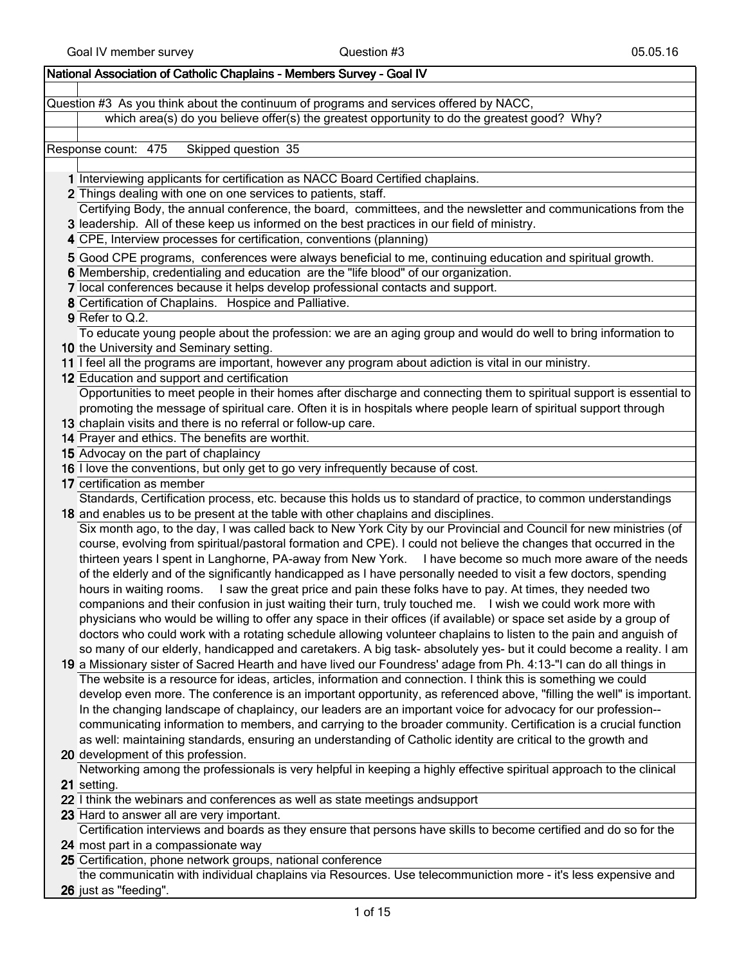## National Association of Catholic Chaplains - Members Survey - Goal IV

Question #3 As you think about the continuum of programs and services offered by NACC, which area(s) do you believe offer(s) the greatest opportunity to do the greatest good? Why?

Response count: 475 Skipped question 35

- 1 Interviewing applicants for certification as NACC Board Certified chaplains.
- 2 Things dealing with one on one services to patients, staff. Certifying Body, the annual conference, the board, committees, and the newsletter and communications from the
- 3 leadership. All of these keep us informed on the best practices in our field of ministry.
- 4 CPE, Interview processes for certification, conventions (planning)
- 5 Good CPE programs, conferences were always beneficial to me, continuing education and spiritual growth.
- 6 Membership, credentialing and education are the "life blood" of our organization.
- 7 local conferences because it helps develop professional contacts and support.
- 8 Certification of Chaplains. Hospice and Palliative.
- 9 Refer to Q.2.

To educate young people about the profession: we are an aging group and would do well to bring information to

- 10 the University and Seminary setting. 11 I feel all the programs are important, however any program about adiction is vital in our ministry.
- 12 Education and support and certification

Opportunities to meet people in their homes after discharge and connecting them to spiritual support is essential to promoting the message of spiritual care. Often it is in hospitals where people learn of spiritual support through

- 13 chaplain visits and there is no referral or follow-up care.
- 14 Prayer and ethics. The benefits are worthit.
- 15 Advocay on the part of chaplaincy
- 16 **I love the conventions, but only get to go very infrequently because of cost.**

17 certification as member

18 and enables us to be present at the table with other chaplains and disciplines. Standards, Certification process, etc. because this holds us to standard of practice, to common understandings

Six month ago, to the day, I was called back to New York City by our Provincial and Council for new ministries (of course, evolving from spiritual/pastoral formation and CPE). I could not believe the changes that occurred in the thirteen years I spent in Langhorne, PA-away from New York. I have become so much more aware of the needs of the elderly and of the significantly handicapped as I have personally needed to visit a few doctors, spending hours in waiting rooms. I saw the great price and pain these folks have to pay. At times, they needed two companions and their confusion in just waiting their turn, truly touched me. I wish we could work more with physicians who would be willing to offer any space in their offices (if available) or space set aside by a group of doctors who could work with a rotating schedule allowing volunteer chaplains to listen to the pain and anguish of so many of our elderly, handicapped and caretakers. A big task- absolutely yes- but it could become a reality. I am

19 a Missionary sister of Sacred Hearth and have lived our Foundress' adage from Ph. 4:13-"I can do all things in The website is a resource for ideas, articles, information and connection. I think this is something we could develop even more. The conference is an important opportunity, as referenced above, "filling the well" is important. In the changing landscape of chaplaincy, our leaders are an important voice for advocacy for our profession- communicating information to members, and carrying to the broader community. Certification is a crucial function as well: maintaining standards, ensuring an understanding of Catholic identity are critical to the growth and

20 development of this profession. Networking among the professionals is very helpful in keeping a highly effective spiritual approach to the clinical

21 setting.

- 22 I think the webinars and conferences as well as state meetings and support
- 23 Hard to answer all are very important.

24 most part in a compassionate way Certification interviews and boards as they ensure that persons have skills to become certified and do so for the

25 Certification, phone network groups, national conference

26 just as "feeding". the communicatin with individual chaplains via Resources. Use telecommuniction more - it's less expensive and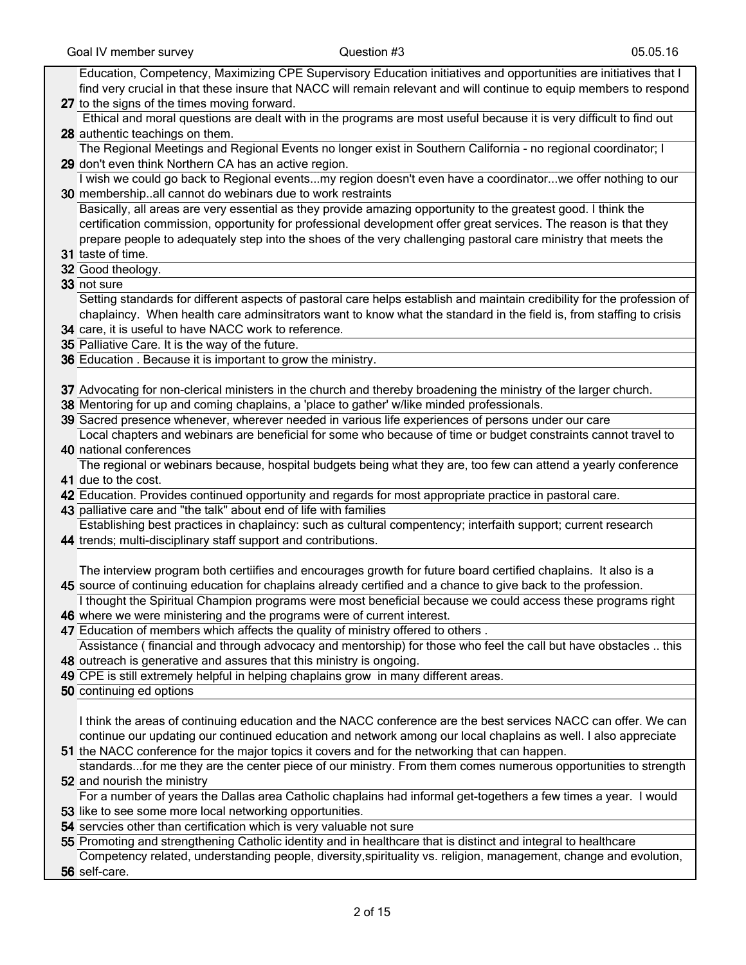| Education, Competency, Maximizing CPE Supervisory Education initiatives and opportunities are initiatives that I        |
|-------------------------------------------------------------------------------------------------------------------------|
| find very crucial in that these insure that NACC will remain relevant and will continue to equip members to respond     |
|                                                                                                                         |
| 27 to the signs of the times moving forward.                                                                            |
| Ethical and moral questions are dealt with in the programs are most useful because it is very difficult to find out     |
| 28 authentic teachings on them.                                                                                         |
| The Regional Meetings and Regional Events no longer exist in Southern California - no regional coordinator; I           |
| 29 don't even think Northern CA has an active region.                                                                   |
|                                                                                                                         |
| I wish we could go back to Regional eventsmy region doesn't even have a coordinatorwe offer nothing to our              |
| 30 membershipall cannot do webinars due to work restraints                                                              |
| Basically, all areas are very essential as they provide amazing opportunity to the greatest good. I think the           |
| certification commission, opportunity for professional development offer great services. The reason is that they        |
| prepare people to adequately step into the shoes of the very challenging pastoral care ministry that meets the          |
| 31 taste of time.                                                                                                       |
|                                                                                                                         |
| 32 Good theology.                                                                                                       |
| 33 not sure                                                                                                             |
| Setting standards for different aspects of pastoral care helps establish and maintain credibility for the profession of |
| chaplaincy. When health care adminsitrators want to know what the standard in the field is, from staffing to crisis     |
| 34 care, it is useful to have NACC work to reference.                                                                   |
|                                                                                                                         |
| 35 Palliative Care. It is the way of the future.                                                                        |
| 36 Education . Because it is important to grow the ministry.                                                            |
|                                                                                                                         |
| 37 Advocating for non-clerical ministers in the church and thereby broadening the ministry of the larger church.        |
| 38 Mentoring for up and coming chaplains, a 'place to gather' w/like minded professionals.                              |
| 39 Sacred presence whenever, wherever needed in various life experiences of persons under our care                      |
| Local chapters and webinars are beneficial for some who because of time or budget constraints cannot travel to          |
|                                                                                                                         |
| 40 national conferences                                                                                                 |
| The regional or webinars because, hospital budgets being what they are, too few can attend a yearly conference          |
| 41 due to the cost.                                                                                                     |
| 42 Education. Provides continued opportunity and regards for most appropriate practice in pastoral care.                |
| 43 palliative care and "the talk" about end of life with families                                                       |
| Establishing best practices in chaplaincy: such as cultural compentency; interfaith support; current research           |
| 44 trends; multi-disciplinary staff support and contributions.                                                          |
|                                                                                                                         |
|                                                                                                                         |
| The interview program both certiifies and encourages growth for future board certified chaplains. It also is a          |
| 45 source of continuing education for chaplains already certified and a chance to give back to the profession.          |
| I thought the Spiritual Champion programs were most beneficial because we could access these programs right             |
| 46 where we were ministering and the programs were of current interest.                                                 |
| 47 Education of members which affects the quality of ministry offered to others.                                        |
|                                                                                                                         |
| Assistance (financial and through advocacy and mentorship) for those who feel the call but have obstacles  this         |
| 48 outreach is generative and assures that this ministry is ongoing.                                                    |
| 49 CPE is still extremely helpful in helping chaplains grow in many different areas.                                    |
| 50 continuing ed options                                                                                                |
|                                                                                                                         |
| I think the areas of continuing education and the NACC conference are the best services NACC can offer. We can          |
| continue our updating our continued education and network among our local chaplains as well. I also appreciate          |
|                                                                                                                         |
| 51 the NACC conference for the major topics it covers and for the networking that can happen.                           |
| standardsfor me they are the center piece of our ministry. From them comes numerous opportunities to strength           |
| 52 and nourish the ministry                                                                                             |
| For a number of years the Dallas area Catholic chaplains had informal get-togethers a few times a year. I would         |
| 53 like to see some more local networking opportunities.                                                                |
| 54 servcies other than certification which is very valuable not sure                                                    |
|                                                                                                                         |
| 55 Promoting and strengthening Catholic identity and in healthcare that is distinct and integral to healthcare          |
| Competency related, understanding people, diversity, spirituality vs. religion, management, change and evolution,       |
| 56 self-care.                                                                                                           |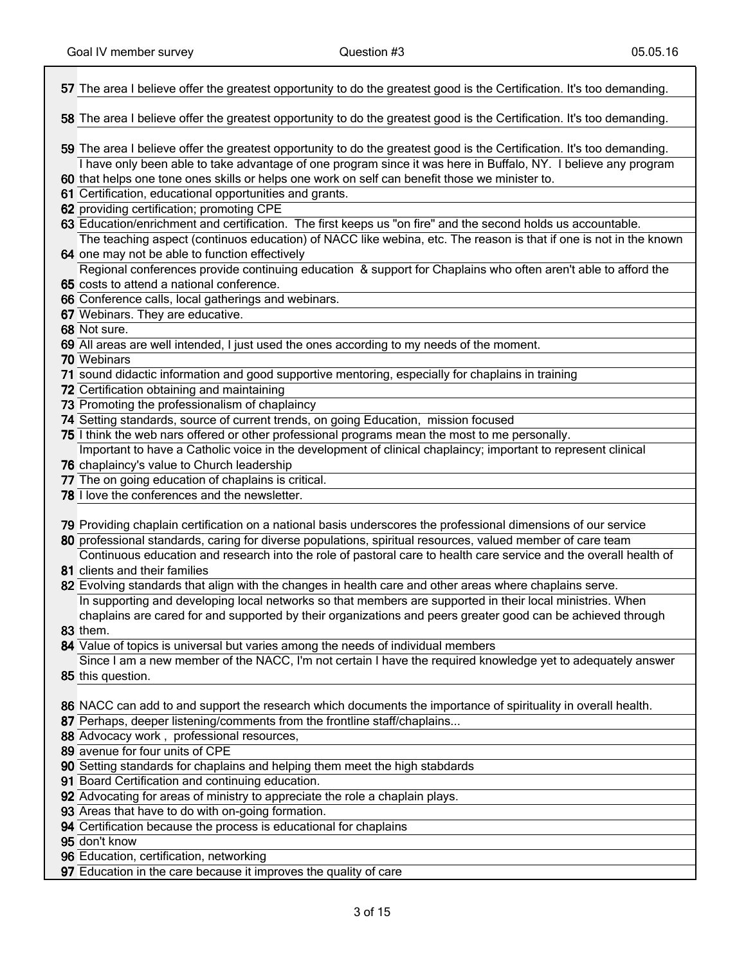| 57 The area I believe offer the greatest opportunity to do the greatest good is the Certification. It's too demanding. |
|------------------------------------------------------------------------------------------------------------------------|
| 58 The area I believe offer the greatest opportunity to do the greatest good is the Certification. It's too demanding. |
| 59 The area I believe offer the greatest opportunity to do the greatest good is the Certification. It's too demanding. |
| I have only been able to take advantage of one program since it was here in Buffalo, NY. I believe any program         |
| 60 that helps one tone ones skills or helps one work on self can benefit those we minister to.                         |
| 61 Certification, educational opportunities and grants.                                                                |
| 62 providing certification; promoting CPE                                                                              |
| 63 Education/enrichment and certification. The first keeps us "on fire" and the second holds us accountable.           |
| The teaching aspect (continuos education) of NACC like webina, etc. The reason is that if one is not in the known      |
| 64 one may not be able to function effectively                                                                         |
| Regional conferences provide continuing education & support for Chaplains who often aren't able to afford the          |
| 65 costs to attend a national conference.                                                                              |
| 66 Conference calls, local gatherings and webinars.                                                                    |
| 67 Webinars. They are educative.                                                                                       |
| 68 Not sure.                                                                                                           |
| 69 All areas are well intended, I just used the ones according to my needs of the moment.                              |
| 70 Webinars                                                                                                            |
| 71 sound didactic information and good supportive mentoring, especially for chaplains in training                      |
| 72 Certification obtaining and maintaining                                                                             |
| 73 Promoting the professionalism of chaplaincy                                                                         |
| 74 Setting standards, source of current trends, on going Education, mission focused                                    |
| 75 I think the web nars offered or other professional programs mean the most to me personally.                         |
| Important to have a Catholic voice in the development of clinical chaplaincy; important to represent clinical          |
| 76 chaplaincy's value to Church leadership                                                                             |
| 77 The on going education of chaplains is critical.                                                                    |
| 78 I love the conferences and the newsletter.                                                                          |
| 79 Providing chaplain certification on a national basis underscores the professional dimensions of our service         |
| 80 professional standards, caring for diverse populations, spiritual resources, valued member of care team             |
| Continuous education and research into the role of pastoral care to health care service and the overall health of      |
| 81 clients and their families                                                                                          |
| 82 Evolving standards that align with the changes in health care and other areas where chaplains serve.                |
| In supporting and developing local networks so that members are supported in their local ministries. When              |
| chaplains are cared for and supported by their organizations and peers greater good can be achieved through            |
| <b>83</b> them.                                                                                                        |
| 84 Value of topics is universal but varies among the needs of individual members                                       |
| Since I am a new member of the NACC, I'm not certain I have the required knowledge yet to adequately answer            |
| 85 this question.                                                                                                      |
| 86 NACC can add to and support the research which documents the importance of spirituality in overall health.          |
| 87 Perhaps, deeper listening/comments from the frontline staff/chaplains                                               |
| 88 Advocacy work, professional resources,                                                                              |
| 89 avenue for four units of CPE                                                                                        |
| 90 Setting standards for chaplains and helping them meet the high stabdards                                            |
| 91 Board Certification and continuing education.                                                                       |
| 92 Advocating for areas of ministry to appreciate the role a chaplain plays.                                           |
| 93 Areas that have to do with on-going formation.                                                                      |
| 94 Certification because the process is educational for chaplains                                                      |
| 95 don't know                                                                                                          |
| 96 Education, certification, networking                                                                                |
| 97 Education in the care because it improves the quality of care                                                       |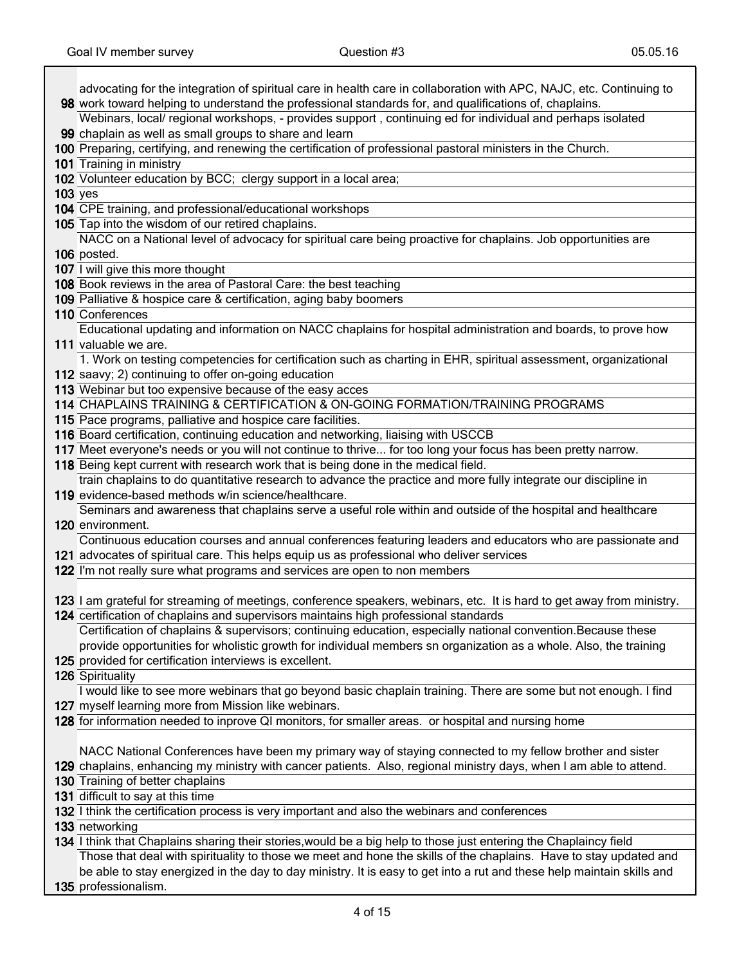Τ

|           | advocating for the integration of spiritual care in health care in collaboration with APC, NAJC, etc. Continuing to                                                         |
|-----------|-----------------------------------------------------------------------------------------------------------------------------------------------------------------------------|
|           | 98 work toward helping to understand the professional standards for, and qualifications of, chaplains.                                                                      |
|           | Webinars, local/ regional workshops, - provides support, continuing ed for individual and perhaps isolated                                                                  |
|           | 99 chaplain as well as small groups to share and learn                                                                                                                      |
|           | 100 Preparing, certifying, and renewing the certification of professional pastoral ministers in the Church.                                                                 |
|           | 101 Training in ministry                                                                                                                                                    |
|           | 102 Volunteer education by BCC; clergy support in a local area;                                                                                                             |
| $103$ yes |                                                                                                                                                                             |
|           | 104 CPE training, and professional/educational workshops                                                                                                                    |
|           | 105 Tap into the wisdom of our retired chaplains.                                                                                                                           |
|           | NACC on a National level of advocacy for spiritual care being proactive for chaplains. Job opportunities are                                                                |
|           | 106 posted.                                                                                                                                                                 |
|           | 107 I will give this more thought                                                                                                                                           |
|           | 108 Book reviews in the area of Pastoral Care: the best teaching                                                                                                            |
|           | 109 Palliative & hospice care & certification, aging baby boomers                                                                                                           |
|           | 110 Conferences<br>Educational updating and information on NACC chaplains for hospital administration and boards, to prove how                                              |
|           | 111 valuable we are.                                                                                                                                                        |
|           | 1. Work on testing competencies for certification such as charting in EHR, spiritual assessment, organizational                                                             |
|           | 112 saavy; 2) continuing to offer on-going education                                                                                                                        |
|           | 113 Webinar but too expensive because of the easy acces                                                                                                                     |
|           | 114 CHAPLAINS TRAINING & CERTIFICATION & ON-GOING FORMATION/TRAINING PROGRAMS                                                                                               |
|           | 115 Pace programs, palliative and hospice care facilities.                                                                                                                  |
|           | 116 Board certification, continuing education and networking, liaising with USCCB                                                                                           |
|           | 117 Meet everyone's needs or you will not continue to thrive for too long your focus has been pretty narrow.                                                                |
|           | 118 Being kept current with research work that is being done in the medical field.                                                                                          |
|           | train chaplains to do quantitative research to advance the practice and more fully integrate our discipline in                                                              |
|           | 119 evidence-based methods w/in science/healthcare.                                                                                                                         |
|           | Seminars and awareness that chaplains serve a useful role within and outside of the hospital and healthcare                                                                 |
|           | 120 environment.                                                                                                                                                            |
|           | Continuous education courses and annual conferences featuring leaders and educators who are passionate and                                                                  |
|           | 121 advocates of spiritual care. This helps equip us as professional who deliver services                                                                                   |
|           | 122 I'm not really sure what programs and services are open to non members                                                                                                  |
|           |                                                                                                                                                                             |
|           | 123 I am grateful for streaming of meetings, conference speakers, webinars, etc. It is hard to get away from ministry.                                                      |
|           | 124 certification of chaplains and supervisors maintains high professional standards                                                                                        |
|           | Certification of chaplains & supervisors; continuing education, especially national convention. Because these                                                               |
|           | provide opportunities for wholistic growth for individual members sn organization as a whole. Also, the training<br>125 provided for certification interviews is excellent. |
|           | 126 Spirituality                                                                                                                                                            |
|           | I would like to see more webinars that go beyond basic chaplain training. There are some but not enough. I find                                                             |
|           | 127 myself learning more from Mission like webinars.                                                                                                                        |
|           | 128 for information needed to inprove QI monitors, for smaller areas. or hospital and nursing home                                                                          |
|           |                                                                                                                                                                             |
|           | NACC National Conferences have been my primary way of staying connected to my fellow brother and sister                                                                     |
|           | 129 chaplains, enhancing my ministry with cancer patients. Also, regional ministry days, when I am able to attend.                                                          |
|           | 130 Training of better chaplains                                                                                                                                            |
|           | 131 difficult to say at this time                                                                                                                                           |
|           | 132 I think the certification process is very important and also the webinars and conferences                                                                               |
|           | 133 networking                                                                                                                                                              |
|           | 134 I think that Chaplains sharing their stories, would be a big help to those just entering the Chaplaincy field                                                           |
|           | Those that deal with spirituality to those we meet and hone the skills of the chaplains. Have to stay updated and                                                           |
|           | be able to stay energized in the day to day ministry. It is easy to get into a rut and these help maintain skills and                                                       |
|           | 135 professionalism.                                                                                                                                                        |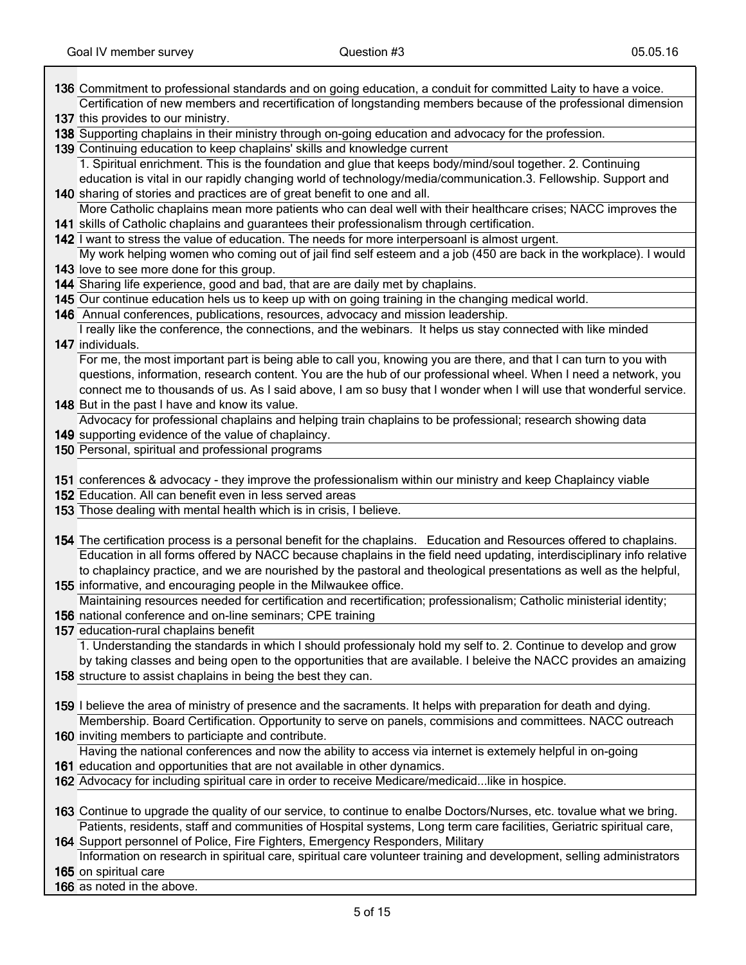| 136 Commitment to professional standards and on going education, a conduit for committed Laity to have a voice.       |
|-----------------------------------------------------------------------------------------------------------------------|
| Certification of new members and recertification of longstanding members because of the professional dimension        |
| 137 this provides to our ministry.                                                                                    |
| 138 Supporting chaplains in their ministry through on-going education and advocacy for the profession.                |
| 139 Continuing education to keep chaplains' skills and knowledge current                                              |
| 1. Spiritual enrichment. This is the foundation and glue that keeps body/mind/soul together. 2. Continuing            |
| education is vital in our rapidly changing world of technology/media/communication.3. Fellowship. Support and         |
| 140 sharing of stories and practices are of great benefit to one and all.                                             |
| More Catholic chaplains mean more patients who can deal well with their healthcare crises; NACC improves the          |
| 141 skills of Catholic chaplains and guarantees their professionalism through certification.                          |
| 142 I want to stress the value of education. The needs for more interpersoanl is almost urgent.                       |
|                                                                                                                       |
| My work helping women who coming out of jail find self esteem and a job (450 are back in the workplace). I would      |
| 143 love to see more done for this group.                                                                             |
| 144 Sharing life experience, good and bad, that are are daily met by chaplains.                                       |
| 145 Our continue education hels us to keep up with on going training in the changing medical world.                   |
| 146 Annual conferences, publications, resources, advocacy and mission leadership.                                     |
| I really like the conference, the connections, and the webinars. It helps us stay connected with like minded          |
| 147 individuals.                                                                                                      |
| For me, the most important part is being able to call you, knowing you are there, and that I can turn to you with     |
| questions, information, research content. You are the hub of our professional wheel. When I need a network, you       |
| connect me to thousands of us. As I said above, I am so busy that I wonder when I will use that wonderful service.    |
| 148 But in the past I have and know its value.                                                                        |
| Advocacy for professional chaplains and helping train chaplains to be professional; research showing data             |
| 149 supporting evidence of the value of chaplaincy.                                                                   |
| 150 Personal, spiritual and professional programs                                                                     |
|                                                                                                                       |
| 151 conferences & advocacy - they improve the professionalism within our ministry and keep Chaplaincy viable          |
|                                                                                                                       |
|                                                                                                                       |
| 152 Education. All can benefit even in less served areas                                                              |
| 153 Those dealing with mental health which is in crisis, I believe.                                                   |
|                                                                                                                       |
| 154 The certification process is a personal benefit for the chaplains. Education and Resources offered to chaplains.  |
| Education in all forms offered by NACC because chaplains in the field need updating, interdisciplinary info relative  |
| to chaplaincy practice, and we are nourished by the pastoral and theological presentations as well as the helpful,    |
| 155 informative, and encouraging people in the Milwaukee office.                                                      |
| Maintaining resources needed for certification and recertification; professionalism; Catholic ministerial identity;   |
| 156 national conference and on-line seminars; CPE training                                                            |
| 157 education-rural chaplains benefit                                                                                 |
| 1. Understanding the standards in which I should professionaly hold my self to. 2. Continue to develop and grow       |
| by taking classes and being open to the opportunities that are available. I beleive the NACC provides an amaizing     |
| 158 structure to assist chaplains in being the best they can.                                                         |
|                                                                                                                       |
| 159 I believe the area of ministry of presence and the sacraments. It helps with preparation for death and dying.     |
| Membership. Board Certification. Opportunity to serve on panels, commisions and committees. NACC outreach             |
| 160 inviting members to particiapte and contribute.                                                                   |
| Having the national conferences and now the ability to access via internet is extemely helpful in on-going            |
| 161 education and opportunities that are not available in other dynamics.                                             |
| 162 Advocacy for including spiritual care in order to receive Medicare/medicaidlike in hospice.                       |
|                                                                                                                       |
| 163 Continue to upgrade the quality of our service, to continue to enalbe Doctors/Nurses, etc. tovalue what we bring. |
| Patients, residents, staff and communities of Hospital systems, Long term care facilities, Geriatric spiritual care,  |
| 164 Support personnel of Police, Fire Fighters, Emergency Responders, Military                                        |
| Information on research in spiritual care, spiritual care volunteer training and development, selling administrators  |
| 165 on spiritual care<br>166 as noted in the above.                                                                   |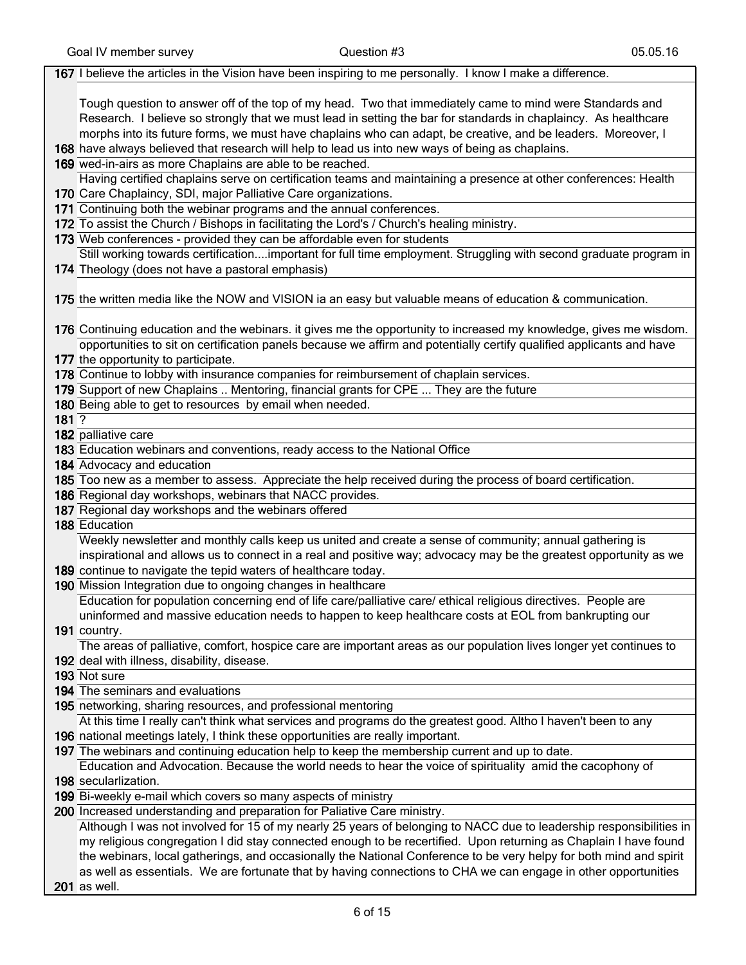|       | 167 I believe the articles in the Vision have been inspiring to me personally. I know I make a difference.           |
|-------|----------------------------------------------------------------------------------------------------------------------|
|       |                                                                                                                      |
|       | Tough question to answer off of the top of my head. Two that immediately came to mind were Standards and             |
|       | Research. I believe so strongly that we must lead in setting the bar for standards in chaplaincy. As healthcare      |
|       | morphs into its future forms, we must have chaplains who can adapt, be creative, and be leaders. Moreover, I         |
|       | 168 have always believed that research will help to lead us into new ways of being as chaplains.                     |
|       | 169 wed-in-airs as more Chaplains are able to be reached.                                                            |
|       | Having certified chaplains serve on certification teams and maintaining a presence at other conferences: Health      |
|       | 170 Care Chaplaincy, SDI, major Palliative Care organizations.                                                       |
|       | 171 Continuing both the webinar programs and the annual conferences.                                                 |
|       | 172 To assist the Church / Bishops in facilitating the Lord's / Church's healing ministry.                           |
|       | 173 Web conferences - provided they can be affordable even for students                                              |
|       | Still working towards certificationimportant for full time employment. Struggling with second graduate program in    |
|       | 174 Theology (does not have a pastoral emphasis)                                                                     |
|       |                                                                                                                      |
|       | 175 the written media like the NOW and VISION ia an easy but valuable means of education & communication.            |
|       |                                                                                                                      |
|       | 176 Continuing education and the webinars. it gives me the opportunity to increased my knowledge, gives me wisdom.   |
|       | opportunities to sit on certification panels because we affirm and potentially certify qualified applicants and have |
|       | 177 the opportunity to participate.                                                                                  |
|       | 178 Continue to lobby with insurance companies for reimbursement of chaplain services.                               |
|       | 179 Support of new Chaplains  Mentoring, financial grants for CPE  They are the future                               |
|       | 180 Being able to get to resources by email when needed.                                                             |
| 181.2 |                                                                                                                      |
|       | 182 palliative care                                                                                                  |
|       | 183 Education webinars and conventions, ready access to the National Office                                          |
|       | 184 Advocacy and education                                                                                           |
|       | 185 Too new as a member to assess. Appreciate the help received during the process of board certification.           |
|       | 186 Regional day workshops, webinars that NACC provides.                                                             |
|       | 187 Regional day workshops and the webinars offered                                                                  |
|       | 188 Education                                                                                                        |
|       | Weekly newsletter and monthly calls keep us united and create a sense of community; annual gathering is              |
|       | inspirational and allows us to connect in a real and positive way; advocacy may be the greatest opportunity as we    |
|       | 189 continue to navigate the tepid waters of healthcare today.                                                       |
|       | 190 Mission Integration due to ongoing changes in healthcare                                                         |
|       | Education for population concerning end of life care/palliative care/ ethical religious directives. People are       |
|       | uninformed and massive education needs to happen to keep healthcare costs at EOL from bankrupting our                |
|       | 191 country.                                                                                                         |
|       | The areas of palliative, comfort, hospice care are important areas as our population lives longer yet continues to   |
|       | 192 deal with illness, disability, disease.                                                                          |
|       | 193 Not sure                                                                                                         |
|       | 194 The seminars and evaluations                                                                                     |
|       | 195 networking, sharing resources, and professional mentoring                                                        |
|       | At this time I really can't think what services and programs do the greatest good. Altho I haven't been to any       |
|       | 196 national meetings lately, I think these opportunities are really important.                                      |
|       | 197 The webinars and continuing education help to keep the membership current and up to date.                        |
|       | Education and Advocation. Because the world needs to hear the voice of spirituality amid the cacophony of            |
|       | 198 secularlization.                                                                                                 |
|       | 199 Bi-weekly e-mail which covers so many aspects of ministry                                                        |
|       | 200 Increased understanding and preparation for Paliative Care ministry.                                             |
|       | Although I was not involved for 15 of my nearly 25 years of belonging to NACC due to leadership responsibilities in  |
|       | my religious congregation I did stay connected enough to be recertified. Upon returning as Chaplain I have found     |
|       | the webinars, local gatherings, and occasionally the National Conference to be very helpy for both mind and spirit   |
|       | as well as essentials. We are fortunate that by having connections to CHA we can engage in other opportunities       |
|       | <b>201</b> as well.                                                                                                  |
|       |                                                                                                                      |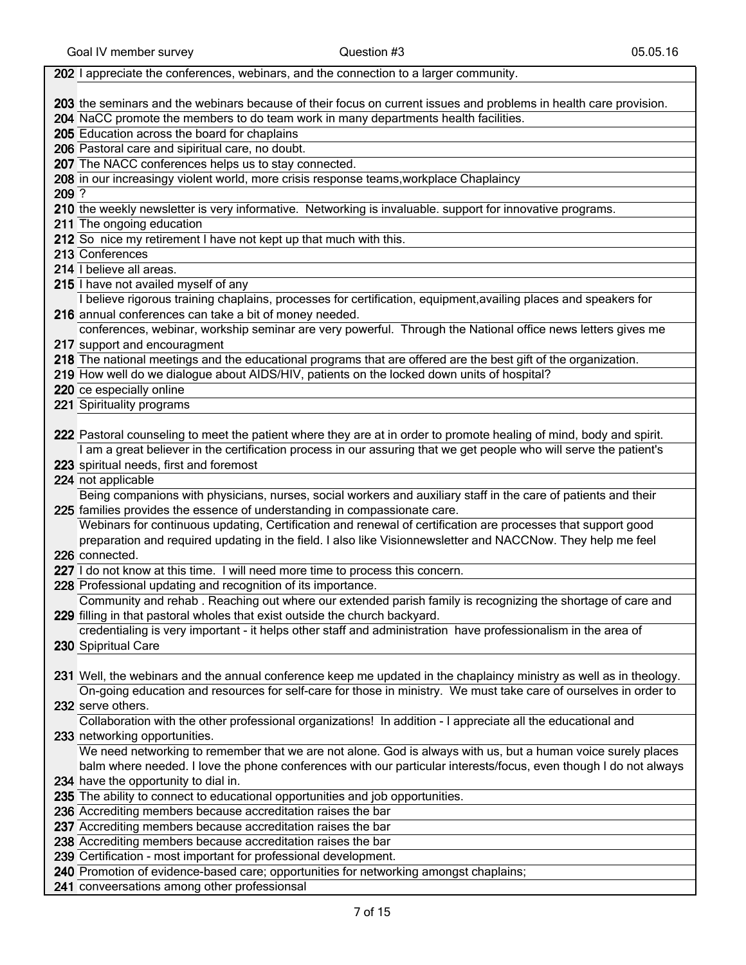|       | 202 I appreciate the conferences, webinars, and the connection to a larger community.                               |
|-------|---------------------------------------------------------------------------------------------------------------------|
|       |                                                                                                                     |
|       | 203 the seminars and the webinars because of their focus on current issues and problems in health care provision.   |
|       | 204 NaCC promote the members to do team work in many departments health facilities.                                 |
|       | 205 Education across the board for chaplains                                                                        |
|       | 206 Pastoral care and sipiritual care, no doubt.                                                                    |
|       | 207 The NACC conferences helps us to stay connected.                                                                |
|       | 208 in our increasingy violent world, more crisis response teams, workplace Chaplaincy                              |
| 209 ? |                                                                                                                     |
|       | 210 the weekly newsletter is very informative. Networking is invaluable. support for innovative programs.           |
|       | 211 The ongoing education                                                                                           |
|       | 212 So nice my retirement I have not kept up that much with this.                                                   |
|       | 213 Conferences                                                                                                     |
|       | 214 I believe all areas.                                                                                            |
|       | 215 I have not availed myself of any                                                                                |
|       | I believe rigorous training chaplains, processes for certification, equipment, availing places and speakers for     |
|       | 216 annual conferences can take a bit of money needed.                                                              |
|       | conferences, webinar, workship seminar are very powerful. Through the National office news letters gives me         |
|       | 217 support and encouragment                                                                                        |
|       | 218 The national meetings and the educational programs that are offered are the best gift of the organization.      |
|       | 219 How well do we dialogue about AIDS/HIV, patients on the locked down units of hospital?                          |
|       | 220 ce especially online                                                                                            |
|       | 221 Spirituality programs                                                                                           |
|       |                                                                                                                     |
|       | 222 Pastoral counseling to meet the patient where they are at in order to promote healing of mind, body and spirit. |
|       | I am a great believer in the certification process in our assuring that we get people who will serve the patient's  |
|       | 223 spiritual needs, first and foremost                                                                             |
|       | 224 not applicable                                                                                                  |
|       | Being companions with physicians, nurses, social workers and auxiliary staff in the care of patients and their      |
|       | 225 families provides the essence of understanding in compassionate care.                                           |
|       | Webinars for continuous updating, Certification and renewal of certification are processes that support good        |
|       | preparation and required updating in the field. I also like Visionnewsletter and NACCNow. They help me feel         |
|       | 226 connected.                                                                                                      |
|       | 227 I do not know at this time. I will need more time to process this concern.                                      |
|       | 228 Professional updating and recognition of its importance.                                                        |
|       | Community and rehab. Reaching out where our extended parish family is recognizing the shortage of care and          |
|       | 229 filling in that pastoral wholes that exist outside the church backyard.                                         |
|       | credentialing is very important - it helps other staff and administration have professionalism in the area of       |
|       |                                                                                                                     |
|       | 230 Spipritual Care                                                                                                 |
|       |                                                                                                                     |
|       | 231 Well, the webinars and the annual conference keep me updated in the chaplaincy ministry as well as in theology. |
|       | On-going education and resources for self-care for those in ministry. We must take care of ourselves in order to    |
|       | 232 serve others.                                                                                                   |
|       | Collaboration with the other professional organizations! In addition - I appreciate all the educational and         |
|       | 233 networking opportunities.                                                                                       |
|       | We need networking to remember that we are not alone. God is always with us, but a human voice surely places        |
|       | balm where needed. I love the phone conferences with our particular interests/focus, even though I do not always    |
|       | 234 have the opportunity to dial in.                                                                                |
|       | 235 The ability to connect to educational opportunities and job opportunities.                                      |
|       | 236 Accrediting members because accreditation raises the bar                                                        |
|       | 237 Accrediting members because accreditation raises the bar                                                        |
|       | 238 Accrediting members because accreditation raises the bar                                                        |
|       | 239 Certification - most important for professional development.                                                    |
|       | 240 Promotion of evidence-based care; opportunities for networking amongst chaplains;                               |
|       | 241 conveersations among other professionsal                                                                        |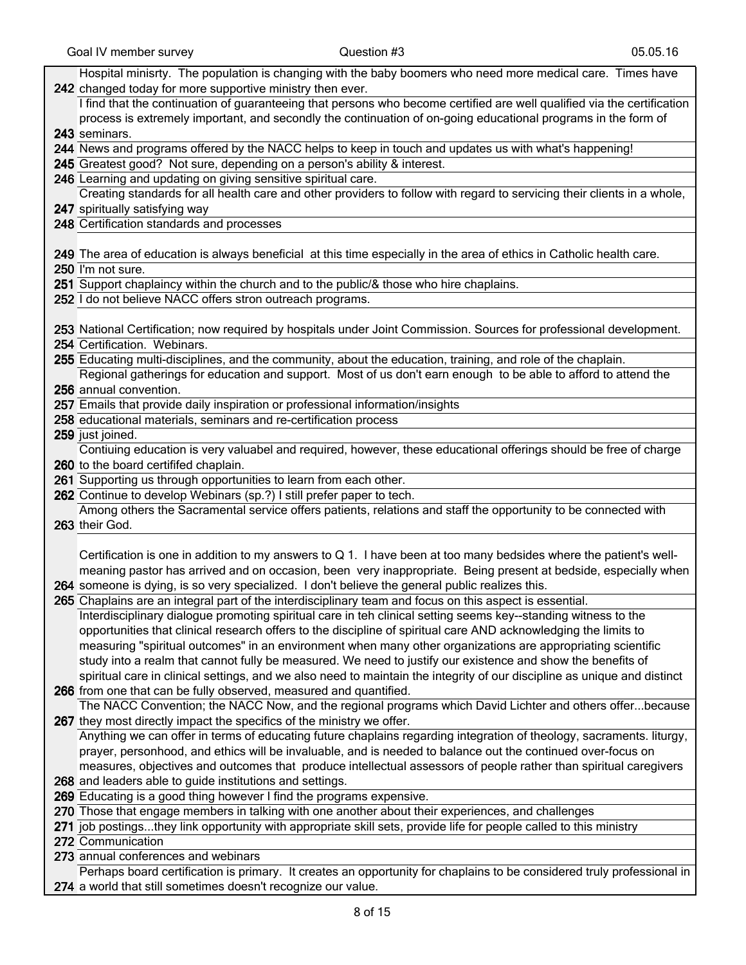| Hospital minisrty. The population is changing with the baby boomers who need more medical care. Times have                                                    |
|---------------------------------------------------------------------------------------------------------------------------------------------------------------|
| 242 changed today for more supportive ministry then ever.                                                                                                     |
| I find that the continuation of guaranteeing that persons who become certified are well qualified via the certification                                       |
| process is extremely important, and secondly the continuation of on-going educational programs in the form of                                                 |
| 243 seminars.                                                                                                                                                 |
| 244 News and programs offered by the NACC helps to keep in touch and updates us with what's happening!                                                        |
| 245 Greatest good? Not sure, depending on a person's ability & interest.                                                                                      |
| 246 Learning and updating on giving sensitive spiritual care.                                                                                                 |
| Creating standards for all health care and other providers to follow with regard to servicing their clients in a whole,                                       |
| 247 spiritually satisfying way                                                                                                                                |
| 248 Certification standards and processes                                                                                                                     |
|                                                                                                                                                               |
| 249 The area of education is always beneficial at this time especially in the area of ethics in Catholic health care.                                         |
| 250 I'm not sure.                                                                                                                                             |
| 251 Support chaplaincy within the church and to the public/& those who hire chaplains.                                                                        |
| 252 I do not believe NACC offers stron outreach programs.                                                                                                     |
|                                                                                                                                                               |
| 253 National Certification; now required by hospitals under Joint Commission. Sources for professional development.                                           |
| 254 Certification. Webinars.                                                                                                                                  |
| 255 Educating multi-disciplines, and the community, about the education, training, and role of the chaplain.                                                  |
| Regional gatherings for education and support. Most of us don't earn enough to be able to afford to attend the                                                |
| 256 annual convention.                                                                                                                                        |
| 257 Emails that provide daily inspiration or professional information/insights                                                                                |
| 258 educational materials, seminars and re-certification process                                                                                              |
| 259 just joined.                                                                                                                                              |
| Contiuing education is very valuabel and required, however, these educational offerings should be free of charge                                              |
|                                                                                                                                                               |
|                                                                                                                                                               |
| 260 to the board certififed chaplain.                                                                                                                         |
| 261 Supporting us through opportunities to learn from each other.                                                                                             |
| 262 Continue to develop Webinars (sp.?) I still prefer paper to tech.                                                                                         |
| Among others the Sacramental service offers patients, relations and staff the opportunity to be connected with                                                |
| 263 their God.                                                                                                                                                |
|                                                                                                                                                               |
| Certification is one in addition to my answers to Q 1. I have been at too many bedsides where the patient's well-                                             |
| meaning pastor has arrived and on occasion, been very inappropriate. Being present at bedside, especially when                                                |
| 264 someone is dying, is so very specialized. I don't believe the general public realizes this.                                                               |
| 265 Chaplains are an integral part of the interdisciplinary team and focus on this aspect is essential.                                                       |
| Interdisciplinary dialogue promoting spiritual care in teh clinical setting seems key--standing witness to the                                                |
| opportunities that clinical research offers to the discipline of spiritual care AND acknowledging the limits to                                               |
| measuring "spiritual outcomes" in an environment when many other organizations are appropriating scientific                                                   |
| study into a realm that cannot fully be measured. We need to justify our existence and show the benefits of                                                   |
| spiritual care in clinical settings, and we also need to maintain the integrity of our discipline as unique and distinct                                      |
| 266 from one that can be fully observed, measured and quantified.                                                                                             |
| The NACC Convention; the NACC Now, and the regional programs which David Lichter and others offerbecause                                                      |
| 267 they most directly impact the specifics of the ministry we offer.                                                                                         |
| Anything we can offer in terms of educating future chaplains regarding integration of theology, sacraments. liturgy,                                          |
| prayer, personhood, and ethics will be invaluable, and is needed to balance out the continued over-focus on                                                   |
| measures, objectives and outcomes that produce intellectual assessors of people rather than spiritual caregivers                                              |
| 268 and leaders able to guide institutions and settings.                                                                                                      |
| 269 Educating is a good thing however I find the programs expensive.                                                                                          |
| 270 Those that engage members in talking with one another about their experiences, and challenges                                                             |
| 271 job postingsthey link opportunity with appropriate skill sets, provide life for people called to this ministry                                            |
| 272 Communication                                                                                                                                             |
| 273 annual conferences and webinars<br>Perhaps board certification is primary. It creates an opportunity for chaplains to be considered truly professional in |
|                                                                                                                                                               |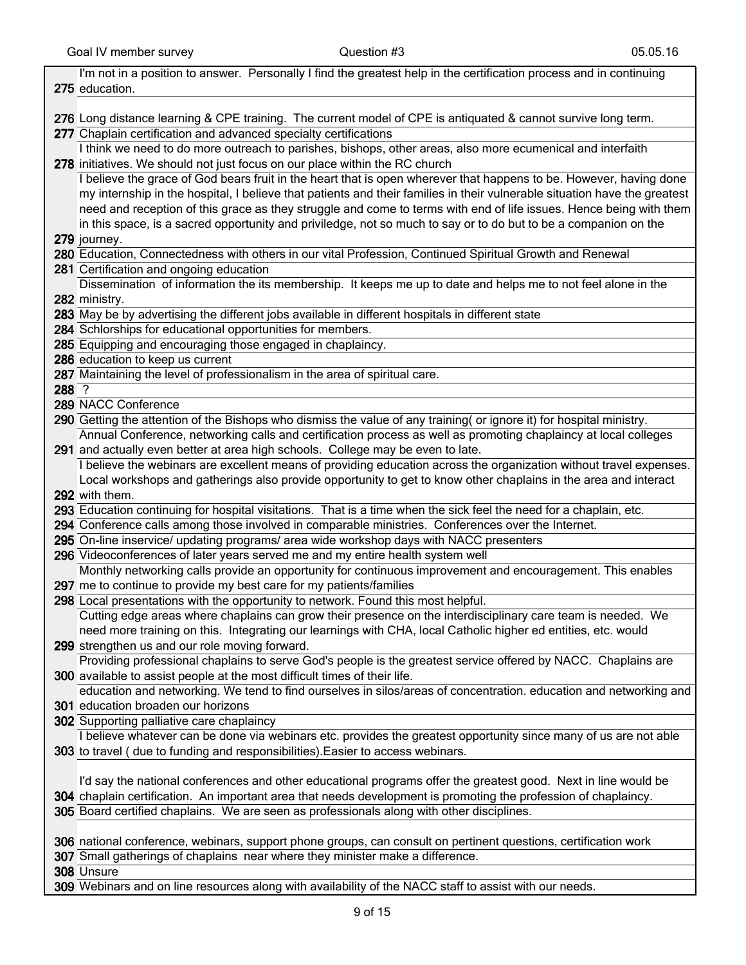|       | I'm not in a position to answer. Personally I find the greatest help in the certification process and in continuing       |
|-------|---------------------------------------------------------------------------------------------------------------------------|
|       | 275 education.                                                                                                            |
|       |                                                                                                                           |
|       | 276 Long distance learning & CPE training. The current model of CPE is antiquated & cannot survive long term.             |
|       | 277 Chaplain certification and advanced specialty certifications                                                          |
|       | I think we need to do more outreach to parishes, bishops, other areas, also more ecumenical and interfaith                |
|       |                                                                                                                           |
|       | 278 initiatives. We should not just focus on our place within the RC church                                               |
|       | I believe the grace of God bears fruit in the heart that is open wherever that happens to be. However, having done        |
|       | my internship in the hospital, I believe that patients and their families in their vulnerable situation have the greatest |
|       | need and reception of this grace as they struggle and come to terms with end of life issues. Hence being with them        |
|       | in this space, is a sacred opportunity and priviledge, not so much to say or to do but to be a companion on the           |
|       | 279 journey.                                                                                                              |
|       | 280 Education, Connectedness with others in our vital Profession, Continued Spiritual Growth and Renewal                  |
|       | 281 Certification and ongoing education                                                                                   |
|       | Dissemination of information the its membership. It keeps me up to date and helps me to not feel alone in the             |
|       | 282 ministry.                                                                                                             |
|       | 283 May be by advertising the different jobs available in different hospitals in different state                          |
|       | 284 Schlorships for educational opportunities for members.                                                                |
|       | 285 Equipping and encouraging those engaged in chaplaincy.                                                                |
|       | 286 education to keep us current                                                                                          |
|       | 287 Maintaining the level of professionalism in the area of spiritual care.                                               |
| 288 ? |                                                                                                                           |
|       | 289 NACC Conference                                                                                                       |
|       | 290 Getting the attention of the Bishops who dismiss the value of any training( or ignore it) for hospital ministry.      |
|       | Annual Conference, networking calls and certification process as well as promoting chaplaincy at local colleges           |
|       | 291 and actually even better at area high schools. College may be even to late.                                           |
|       | I believe the webinars are excellent means of providing education across the organization without travel expenses.        |
|       | Local workshops and gatherings also provide opportunity to get to know other chaplains in the area and interact           |
|       | 292 with them.                                                                                                            |
|       | 293 Education continuing for hospital visitations. That is a time when the sick feel the need for a chaplain, etc.        |
|       | 294 Conference calls among those involved in comparable ministries. Conferences over the Internet.                        |
|       | 295 On-line inservice/ updating programs/ area wide workshop days with NACC presenters                                    |
|       | 296 Videoconferences of later years served me and my entire health system well                                            |
|       | Monthly networking calls provide an opportunity for continuous improvement and encouragement. This enables                |
|       | 297 me to continue to provide my best care for my patients/families                                                       |
|       | 298 Local presentations with the opportunity to network. Found this most helpful.                                         |
|       | Cutting edge areas where chaplains can grow their presence on the interdisciplinary care team is needed. We               |
|       | need more training on this. Integrating our learnings with CHA, local Catholic higher ed entities, etc. would             |
|       | 299 strengthen us and our role moving forward.                                                                            |
|       | Providing professional chaplains to serve God's people is the greatest service offered by NACC. Chaplains are             |
|       | 300 available to assist people at the most difficult times of their life.                                                 |
|       | education and networking. We tend to find ourselves in silos/areas of concentration. education and networking and         |
|       | 301 education broaden our horizons                                                                                        |
|       | 302 Supporting palliative care chaplaincy                                                                                 |
|       | I believe whatever can be done via webinars etc. provides the greatest opportunity since many of us are not able          |
|       | 303 to travel (due to funding and responsibilities). Easier to access webinars.                                           |
|       |                                                                                                                           |
|       | I'd say the national conferences and other educational programs offer the greatest good. Next in line would be            |
|       | 304 chaplain certification. An important area that needs development is promoting the profession of chaplaincy.           |
|       | 305 Board certified chaplains. We are seen as professionals along with other disciplines.                                 |
|       |                                                                                                                           |
|       | 306 national conference, webinars, support phone groups, can consult on pertinent questions, certification work           |
|       | 307 Small gatherings of chaplains near where they minister make a difference.                                             |
|       | 308 Unsure                                                                                                                |
|       | 309 Webinars and on line resources along with availability of the NACC staff to assist with our needs.                    |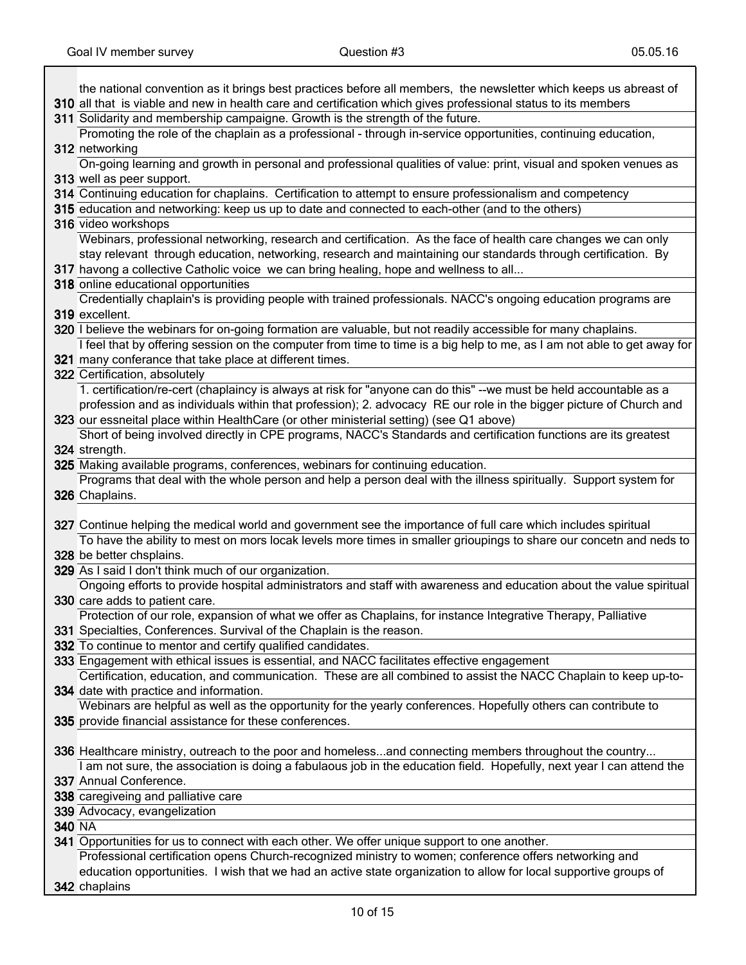$\mathbf l$ 

|               | the national convention as it brings best practices before all members, the newsletter which keeps us abreast of                                                                                                                 |
|---------------|----------------------------------------------------------------------------------------------------------------------------------------------------------------------------------------------------------------------------------|
|               | 310 all that is viable and new in health care and certification which gives professional status to its members                                                                                                                   |
|               | 311 Solidarity and membership campaigne. Growth is the strength of the future.                                                                                                                                                   |
|               | Promoting the role of the chaplain as a professional - through in-service opportunities, continuing education,                                                                                                                   |
|               | 312 networking                                                                                                                                                                                                                   |
|               | On-going learning and growth in personal and professional qualities of value: print, visual and spoken venues as                                                                                                                 |
|               | 313 well as peer support.                                                                                                                                                                                                        |
|               | 314 Continuing education for chaplains. Certification to attempt to ensure professionalism and competency                                                                                                                        |
|               | 315 education and networking: keep us up to date and connected to each-other (and to the others)                                                                                                                                 |
|               | 316 video workshops                                                                                                                                                                                                              |
|               | Webinars, professional networking, research and certification. As the face of health care changes we can only                                                                                                                    |
|               | stay relevant through education, networking, research and maintaining our standards through certification. By                                                                                                                    |
|               | 317 havong a collective Catholic voice we can bring healing, hope and wellness to all                                                                                                                                            |
|               | 318 online educational opportunities                                                                                                                                                                                             |
|               | Credentially chaplain's is providing people with trained professionals. NACC's ongoing education programs are                                                                                                                    |
|               | 319 excellent.                                                                                                                                                                                                                   |
|               | 320 I believe the webinars for on-going formation are valuable, but not readily accessible for many chaplains.                                                                                                                   |
|               | I feel that by offering session on the computer from time to time is a big help to me, as I am not able to get away for                                                                                                          |
|               | 321 many conferance that take place at different times.                                                                                                                                                                          |
|               | 322 Certification, absolutely                                                                                                                                                                                                    |
|               | 1. certification/re-cert (chaplaincy is always at risk for "anyone can do this" --we must be held accountable as a                                                                                                               |
|               | profession and as individuals within that profession); 2. advocacy RE our role in the bigger picture of Church and                                                                                                               |
|               | 323 our essneital place within HealthCare (or other ministerial setting) (see Q1 above)                                                                                                                                          |
|               | Short of being involved directly in CPE programs, NACC's Standards and certification functions are its greatest                                                                                                                  |
|               | 324 strength.                                                                                                                                                                                                                    |
|               | 325 Making available programs, conferences, webinars for continuing education.                                                                                                                                                   |
|               | Programs that deal with the whole person and help a person deal with the illness spiritually. Support system for                                                                                                                 |
|               | 326 Chaplains.                                                                                                                                                                                                                   |
|               |                                                                                                                                                                                                                                  |
|               |                                                                                                                                                                                                                                  |
|               | 327 Continue helping the medical world and government see the importance of full care which includes spiritual                                                                                                                   |
|               | To have the ability to mest on mors locak levels more times in smaller grioupings to share our concetn and neds to                                                                                                               |
|               | 328 be better chsplains.                                                                                                                                                                                                         |
|               | 329 As I said I don't think much of our organization.                                                                                                                                                                            |
|               | Ongoing efforts to provide hospital administrators and staff with awareness and education about the value spiritual                                                                                                              |
|               | 330 care adds to patient care.                                                                                                                                                                                                   |
|               | Protection of our role, expansion of what we offer as Chaplains, for instance Integrative Therapy, Palliative                                                                                                                    |
|               | 331 Specialties, Conferences. Survival of the Chaplain is the reason.                                                                                                                                                            |
|               | 332 To continue to mentor and certify qualified candidates.                                                                                                                                                                      |
|               | 333 Engagement with ethical issues is essential, and NACC facilitates effective engagement                                                                                                                                       |
|               | Certification, education, and communication. These are all combined to assist the NACC Chaplain to keep up-to-                                                                                                                   |
|               | 334 date with practice and information.                                                                                                                                                                                          |
|               | Webinars are helpful as well as the opportunity for the yearly conferences. Hopefully others can contribute to                                                                                                                   |
|               | 335 provide financial assistance for these conferences.                                                                                                                                                                          |
|               |                                                                                                                                                                                                                                  |
|               | 336 Healthcare ministry, outreach to the poor and homelessand connecting members throughout the country<br>I am not sure, the association is doing a fabulaous job in the education field. Hopefully, next year I can attend the |
|               | 337 Annual Conference.                                                                                                                                                                                                           |
|               | 338 caregiveing and palliative care                                                                                                                                                                                              |
|               | 339 Advocacy, evangelization                                                                                                                                                                                                     |
| <b>340 NA</b> |                                                                                                                                                                                                                                  |
|               | 341 Opportunities for us to connect with each other. We offer unique support to one another.                                                                                                                                     |
|               | Professional certification opens Church-recognized ministry to women; conference offers networking and                                                                                                                           |
|               | education opportunities. I wish that we had an active state organization to allow for local supportive groups of                                                                                                                 |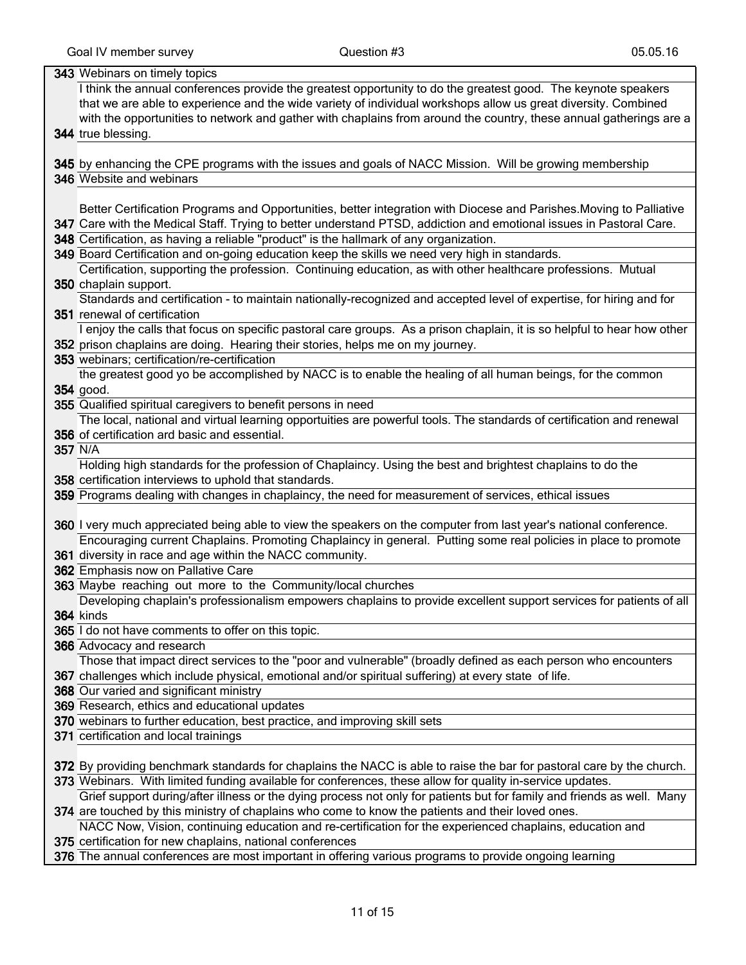| 343 Webinars on timely topics                                                                                           |
|-------------------------------------------------------------------------------------------------------------------------|
| I think the annual conferences provide the greatest opportunity to do the greatest good. The keynote speakers           |
| that we are able to experience and the wide variety of individual workshops allow us great diversity. Combined          |
| with the opportunities to network and gather with chaplains from around the country, these annual gatherings are a      |
| 344 true blessing.                                                                                                      |
|                                                                                                                         |
| 345 by enhancing the CPE programs with the issues and goals of NACC Mission. Will be growing membership                 |
| 346 Website and webinars                                                                                                |
|                                                                                                                         |
| Better Certification Programs and Opportunities, better integration with Diocese and Parishes. Moving to Palliative     |
| 347 Care with the Medical Staff. Trying to better understand PTSD, addiction and emotional issues in Pastoral Care.     |
| 348 Certification, as having a reliable "product" is the hallmark of any organization.                                  |
| 349 Board Certification and on-going education keep the skills we need very high in standards.                          |
| Certification, supporting the profession. Continuing education, as with other healthcare professions. Mutual            |
| 350 chaplain support.                                                                                                   |
| Standards and certification - to maintain nationally-recognized and accepted level of expertise, for hiring and for     |
| 351 renewal of certification                                                                                            |
| I enjoy the calls that focus on specific pastoral care groups. As a prison chaplain, it is so helpful to hear how other |
| 352 prison chaplains are doing. Hearing their stories, helps me on my journey.                                          |
| 353 webinars; certification/re-certification                                                                            |
| the greatest good yo be accomplished by NACC is to enable the healing of all human beings, for the common               |
| 354 good.                                                                                                               |
| 355 Qualified spiritual caregivers to benefit persons in need                                                           |
| The local, national and virtual learning opportuities are powerful tools. The standards of certification and renewal    |
| 356 of certification ard basic and essential.                                                                           |
| 357 N/A                                                                                                                 |
| Holding high standards for the profession of Chaplaincy. Using the best and brightest chaplains to do the               |
| 358 certification interviews to uphold that standards.                                                                  |
| 359 Programs dealing with changes in chaplaincy, the need for measurement of services, ethical issues                   |
|                                                                                                                         |
| 360 I very much appreciated being able to view the speakers on the computer from last year's national conference.       |
| Encouraging current Chaplains. Promoting Chaplaincy in general. Putting some real policies in place to promote          |
| 361 diversity in race and age within the NACC community.                                                                |
| 362 Emphasis now on Pallative Care                                                                                      |
| 363 Maybe reaching out more to the Community/local churches                                                             |
| Developing chaplain's professionalism empowers chaplains to provide excellent support services for patients of all      |
| 364 kinds                                                                                                               |
| 365 I do not have comments to offer on this topic.                                                                      |
| 366 Advocacy and research                                                                                               |
| Those that impact direct services to the "poor and vulnerable" (broadly defined as each person who encounters           |
| 367 challenges which include physical, emotional and/or spiritual suffering) at every state of life.                    |
| 368 Our varied and significant ministry                                                                                 |
| 369 Research, ethics and educational updates                                                                            |
| 370 webinars to further education, best practice, and improving skill sets                                              |
| 371 certification and local trainings                                                                                   |
|                                                                                                                         |
| 372 By providing benchmark standards for chaplains the NACC is able to raise the bar for pastoral care by the church.   |
| 373 Webinars. With limited funding available for conferences, these allow for quality in-service updates.               |
| Grief support during/after illness or the dying process not only for patients but for family and friends as well. Many  |
| 374 are touched by this ministry of chaplains who come to know the patients and their loved ones.                       |
| NACC Now, Vision, continuing education and re-certification for the experienced chaplains, education and                |
| 375 certification for new chaplains, national conferences                                                               |
| 376 The annual conferences are most important in offering various programs to provide ongoing learning                  |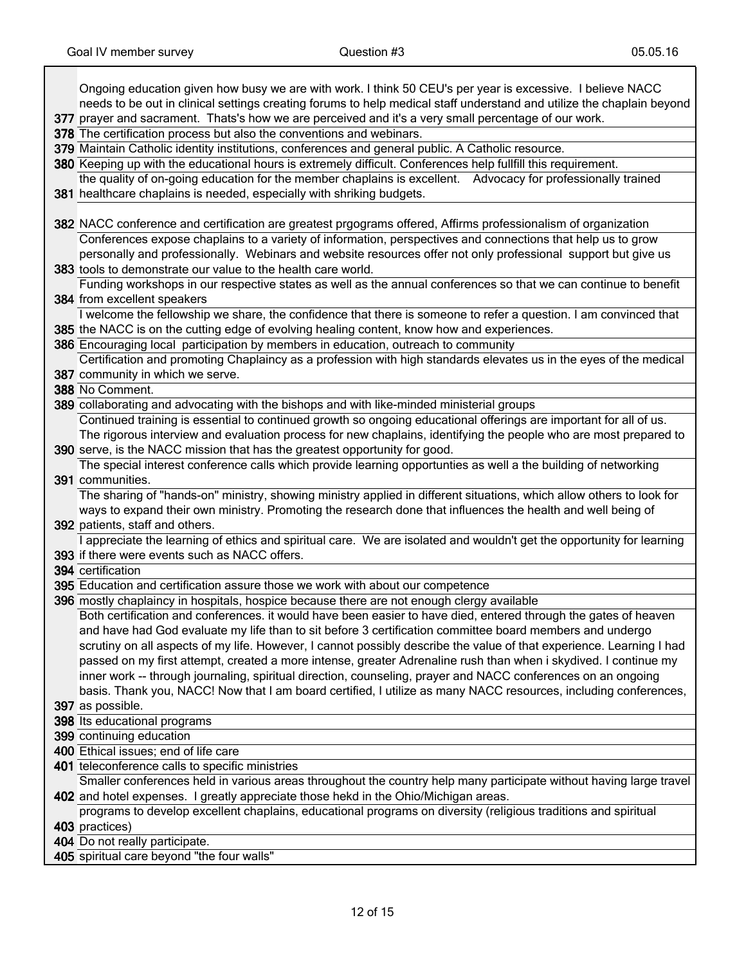ן

| Ongoing education given how busy we are with work. I think 50 CEU's per year is excessive. I believe NACC                                                              |
|------------------------------------------------------------------------------------------------------------------------------------------------------------------------|
| needs to be out in clinical settings creating forums to help medical staff understand and utilize the chaplain beyond                                                  |
| 377 prayer and sacrament. Thats's how we are perceived and it's a very small percentage of our work.                                                                   |
| 378 The certification process but also the conventions and webinars.                                                                                                   |
| 379 Maintain Catholic identity institutions, conferences and general public. A Catholic resource.                                                                      |
| 380 Keeping up with the educational hours is extremely difficult. Conferences help fullfill this requirement.                                                          |
| the quality of on-going education for the member chaplains is excellent. Advocacy for professionally trained                                                           |
| 381 healthcare chaplains is needed, especially with shriking budgets.                                                                                                  |
|                                                                                                                                                                        |
| 382 NACC conference and certification are greatest prgograms offered, Affirms professionalism of organization                                                          |
| Conferences expose chaplains to a variety of information, perspectives and connections that help us to grow                                                            |
| personally and professionally. Webinars and website resources offer not only professional support but give us                                                          |
| 383 tools to demonstrate our value to the health care world.                                                                                                           |
| Funding workshops in our respective states as well as the annual conferences so that we can continue to benefit                                                        |
| 384 from excellent speakers                                                                                                                                            |
| I welcome the fellowship we share, the confidence that there is someone to refer a question. I am convinced that                                                       |
| 385 the NACC is on the cutting edge of evolving healing content, know how and experiences.                                                                             |
| 386 Encouraging local participation by members in education, outreach to community                                                                                     |
| Certification and promoting Chaplaincy as a profession with high standards elevates us in the eyes of the medical                                                      |
| 387 community in which we serve.                                                                                                                                       |
| 388 No Comment.                                                                                                                                                        |
| 389 collaborating and advocating with the bishops and with like-minded ministerial groups                                                                              |
| Continued training is essential to continued growth so ongoing educational offerings are important for all of us.                                                      |
| The rigorous interview and evaluation process for new chaplains, identifying the people who are most prepared to                                                       |
| 390 serve, is the NACC mission that has the greatest opportunity for good.                                                                                             |
| The special interest conference calls which provide learning opportunties as well a the building of networking                                                         |
| 391 communities.                                                                                                                                                       |
| The sharing of "hands-on" ministry, showing ministry applied in different situations, which allow others to look for                                                   |
| ways to expand their own ministry. Promoting the research done that influences the health and well being of                                                            |
| 392 patients, staff and others.                                                                                                                                        |
| I appreciate the learning of ethics and spiritual care. We are isolated and wouldn't get the opportunity for learning<br>393 if there were events such as NACC offers. |
| 394 certification                                                                                                                                                      |
| 395 Education and certification assure those we work with about our competence                                                                                         |
| 396 mostly chaplaincy in hospitals, hospice because there are not enough clergy available                                                                              |
| Both certification and conferences. it would have been easier to have died, entered through the gates of heaven                                                        |
| and have had God evaluate my life than to sit before 3 certification committee board members and undergo                                                               |
| scrutiny on all aspects of my life. However, I cannot possibly describe the value of that experience. Learning I had                                                   |
| passed on my first attempt, created a more intense, greater Adrenaline rush than when i skydived. I continue my                                                        |
| inner work -- through journaling, spiritual direction, counseling, prayer and NACC conferences on an ongoing                                                           |
| basis. Thank you, NACC! Now that I am board certified, I utilize as many NACC resources, including conferences,                                                        |
| 397 as possible.                                                                                                                                                       |
| 398 Its educational programs                                                                                                                                           |
| 399 continuing education                                                                                                                                               |
| 400 Ethical issues; end of life care                                                                                                                                   |
| 401 teleconference calls to specific ministries                                                                                                                        |
| Smaller conferences held in various areas throughout the country help many participate without having large travel                                                     |
| 402 and hotel expenses. I greatly appreciate those hekd in the Ohio/Michigan areas.                                                                                    |
| programs to develop excellent chaplains, educational programs on diversity (religious traditions and spiritual                                                         |
| 403 practices)                                                                                                                                                         |
| 404 Do not really participate.                                                                                                                                         |
| 405 spiritual care beyond "the four walls"                                                                                                                             |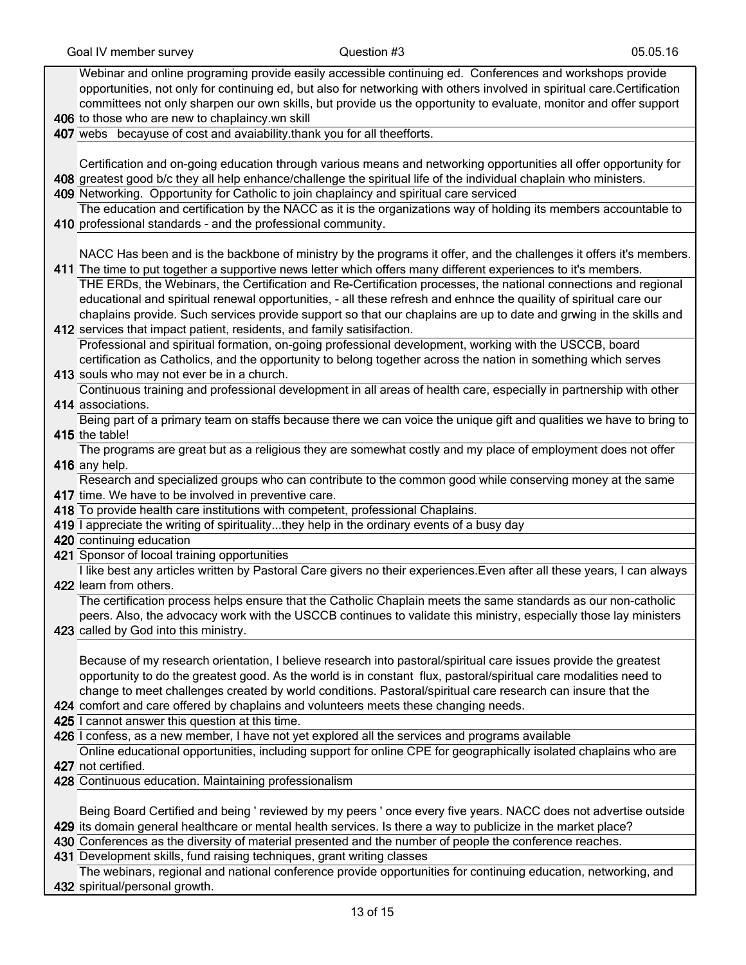| Webinar and online programing provide easily accessible continuing ed. Conferences and workshops provide                                                                                 |
|------------------------------------------------------------------------------------------------------------------------------------------------------------------------------------------|
|                                                                                                                                                                                          |
| opportunities, not only for continuing ed, but also for networking with others involved in spiritual care.Certification                                                                  |
| committees not only sharpen our own skills, but provide us the opportunity to evaluate, monitor and offer support                                                                        |
| 406 to those who are new to chaplaincy.wn skill                                                                                                                                          |
| 407 webs becayuse of cost and avaiability thank you for all theefforts.                                                                                                                  |
|                                                                                                                                                                                          |
| Certification and on-going education through various means and networking opportunities all offer opportunity for                                                                        |
| 408 greatest good b/c they all help enhance/challenge the spiritual life of the individual chaplain who ministers.                                                                       |
| 409 Networking. Opportunity for Catholic to join chaplaincy and spiritual care serviced                                                                                                  |
|                                                                                                                                                                                          |
| The education and certification by the NACC as it is the organizations way of holding its members accountable to                                                                         |
| 410 professional standards - and the professional community.                                                                                                                             |
|                                                                                                                                                                                          |
| NACC Has been and is the backbone of ministry by the programs it offer, and the challenges it offers it's members.                                                                       |
| 411 The time to put together a supportive news letter which offers many different experiences to it's members.                                                                           |
| THE ERDs, the Webinars, the Certification and Re-Certification processes, the national connections and regional                                                                          |
| educational and spiritual renewal opportunities, - all these refresh and enhnce the quaility of spiritual care our                                                                       |
|                                                                                                                                                                                          |
| chaplains provide. Such services provide support so that our chaplains are up to date and grwing in the skills and                                                                       |
| 412 services that impact patient, residents, and family satisifaction.                                                                                                                   |
| Professional and spiritual formation, on-going professional development, working with the USCCB, board                                                                                   |
| certification as Catholics, and the opportunity to belong together across the nation in something which serves                                                                           |
| 413 souls who may not ever be in a church.                                                                                                                                               |
| Continuous training and professional development in all areas of health care, especially in partnership with other                                                                       |
| 414 associations.                                                                                                                                                                        |
| Being part of a primary team on staffs because there we can voice the unique gift and qualities we have to bring to                                                                      |
| 415 the table!                                                                                                                                                                           |
| The programs are great but as a religious they are somewhat costly and my place of employment does not offer                                                                             |
|                                                                                                                                                                                          |
| 416 any help.                                                                                                                                                                            |
|                                                                                                                                                                                          |
| Research and specialized groups who can contribute to the common good while conserving money at the same                                                                                 |
| 417 time. We have to be involved in preventive care.                                                                                                                                     |
| 418 To provide health care institutions with competent, professional Chaplains.                                                                                                          |
| 419 I appreciate the writing of spiritualitythey help in the ordinary events of a busy day                                                                                               |
| 420 continuing education                                                                                                                                                                 |
| 421 Sponsor of locoal training opportunities                                                                                                                                             |
| I like best any articles written by Pastoral Care givers no their experiences. Even after all these years, I can always                                                                  |
| 422 learn from others.                                                                                                                                                                   |
|                                                                                                                                                                                          |
| The certification process helps ensure that the Catholic Chaplain meets the same standards as our non-catholic                                                                           |
| peers. Also, the advocacy work with the USCCB continues to validate this ministry, especially those lay ministers                                                                        |
| 423 called by God into this ministry.                                                                                                                                                    |
|                                                                                                                                                                                          |
| Because of my research orientation, I believe research into pastoral/spiritual care issues provide the greatest                                                                          |
| opportunity to do the greatest good. As the world is in constant flux, pastoral/spiritual care modalities need to                                                                        |
| change to meet challenges created by world conditions. Pastoral/spiritual care research can insure that the                                                                              |
| 424 comfort and care offered by chaplains and volunteers meets these changing needs.                                                                                                     |
| 425 I cannot answer this question at this time.                                                                                                                                          |
| 426 I confess, as a new member, I have not yet explored all the services and programs available                                                                                          |
| Online educational opportunities, including support for online CPE for geographically isolated chaplains who are                                                                         |
| 427 not certified.                                                                                                                                                                       |
|                                                                                                                                                                                          |
| 428 Continuous education. Maintaining professionalism                                                                                                                                    |
|                                                                                                                                                                                          |
| Being Board Certified and being ' reviewed by my peers ' once every five years. NACC does not advertise outside                                                                          |
| 429 its domain general healthcare or mental health services. Is there a way to publicize in the market place?                                                                            |
| 430 Conferences as the diversity of material presented and the number of people the conference reaches.                                                                                  |
| 431 Development skills, fund raising techniques, grant writing classes<br>The webinars, regional and national conference provide opportunities for continuing education, networking, and |

432 spiritual/personal growth.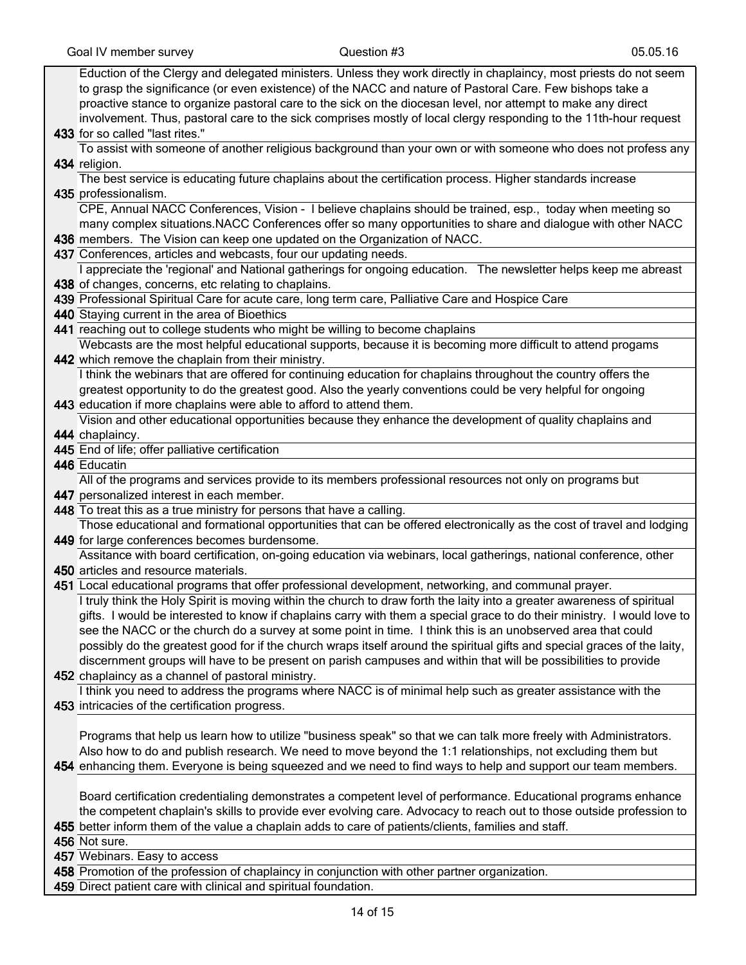| Eduction of the Clergy and delegated ministers. Unless they work directly in chaplaincy, most priests do not seem                                                                                                                                  |
|----------------------------------------------------------------------------------------------------------------------------------------------------------------------------------------------------------------------------------------------------|
| to grasp the significance (or even existence) of the NACC and nature of Pastoral Care. Few bishops take a                                                                                                                                          |
| proactive stance to organize pastoral care to the sick on the diocesan level, nor attempt to make any direct                                                                                                                                       |
| involvement. Thus, pastoral care to the sick comprises mostly of local clergy responding to the 11th-hour request                                                                                                                                  |
| 433 for so called "last rites."                                                                                                                                                                                                                    |
| To assist with someone of another religious background than your own or with someone who does not profess any                                                                                                                                      |
| 434 religion.                                                                                                                                                                                                                                      |
| The best service is educating future chaplains about the certification process. Higher standards increase                                                                                                                                          |
| 435 professionalism.                                                                                                                                                                                                                               |
| CPE, Annual NACC Conferences, Vision - I believe chaplains should be trained, esp., today when meeting so                                                                                                                                          |
| many complex situations. NACC Conferences offer so many opportunities to share and dialogue with other NACC                                                                                                                                        |
| 436 members. The Vision can keep one updated on the Organization of NACC.                                                                                                                                                                          |
| 437 Conferences, articles and webcasts, four our updating needs.                                                                                                                                                                                   |
| I appreciate the 'regional' and National gatherings for ongoing education.  The newsletter helps keep me abreast                                                                                                                                   |
| 438 of changes, concerns, etc relating to chaplains.                                                                                                                                                                                               |
| 439 Professional Spiritual Care for acute care, long term care, Palliative Care and Hospice Care                                                                                                                                                   |
| 440 Staying current in the area of Bioethics                                                                                                                                                                                                       |
| 441 reaching out to college students who might be willing to become chaplains                                                                                                                                                                      |
| Webcasts are the most helpful educational supports, because it is becoming more difficult to attend progams                                                                                                                                        |
| 442 which remove the chaplain from their ministry.                                                                                                                                                                                                 |
| I think the webinars that are offered for continuing education for chaplains throughout the country offers the                                                                                                                                     |
| greatest opportunity to do the greatest good. Also the yearly conventions could be very helpful for ongoing                                                                                                                                        |
| 443 education if more chaplains were able to afford to attend them.                                                                                                                                                                                |
| Vision and other educational opportunities because they enhance the development of quality chaplains and                                                                                                                                           |
| 444 chaplaincy.                                                                                                                                                                                                                                    |
| 445 End of life; offer palliative certification                                                                                                                                                                                                    |
| 446 Educatin                                                                                                                                                                                                                                       |
| All of the programs and services provide to its members professional resources not only on programs but                                                                                                                                            |
| 447 personalized interest in each member.                                                                                                                                                                                                          |
| 448 To treat this as a true ministry for persons that have a calling.                                                                                                                                                                              |
| Those educational and formational opportunities that can be offered electronically as the cost of travel and lodging                                                                                                                               |
| 449 for large conferences becomes burdensome.                                                                                                                                                                                                      |
| Assitance with board certification, on-going education via webinars, local gatherings, national conference, other                                                                                                                                  |
| 450 articles and resource materials.                                                                                                                                                                                                               |
| 451 Local educational programs that offer professional development, networking, and communal prayer.                                                                                                                                               |
| I truly think the Holy Spirit is moving within the church to draw forth the laity into a greater awareness of spiritual<br>gifts. I would be interested to know if chaplains carry with them a special grace to do their ministry. I would love to |
| see the NACC or the church do a survey at some point in time. I think this is an unobserved area that could                                                                                                                                        |
| possibly do the greatest good for if the church wraps itself around the spiritual gifts and special graces of the laity,                                                                                                                           |
| discernment groups will have to be present on parish campuses and within that will be possibilities to provide                                                                                                                                     |
| 452 chaplaincy as a channel of pastoral ministry.                                                                                                                                                                                                  |
| I think you need to address the programs where NACC is of minimal help such as greater assistance with the                                                                                                                                         |
| 453 intricacies of the certification progress.                                                                                                                                                                                                     |
|                                                                                                                                                                                                                                                    |
| Programs that help us learn how to utilize "business speak" so that we can talk more freely with Administrators.                                                                                                                                   |
| Also how to do and publish research. We need to move beyond the 1:1 relationships, not excluding them but                                                                                                                                          |
| 454 enhancing them. Everyone is being squeezed and we need to find ways to help and support our team members.                                                                                                                                      |
|                                                                                                                                                                                                                                                    |
| Board certification credentialing demonstrates a competent level of performance. Educational programs enhance                                                                                                                                      |
| the competent chaplain's skills to provide ever evolving care. Advocacy to reach out to those outside profession to                                                                                                                                |
| 455 better inform them of the value a chaplain adds to care of patients/clients, families and staff.                                                                                                                                               |
| 456 Not sure.                                                                                                                                                                                                                                      |
| 457 Webinars. Easy to access                                                                                                                                                                                                                       |
| 458 Promotion of the profession of chaplaincy in conjunction with other partner organization.                                                                                                                                                      |
| 459 Direct patient care with clinical and spiritual foundation.                                                                                                                                                                                    |